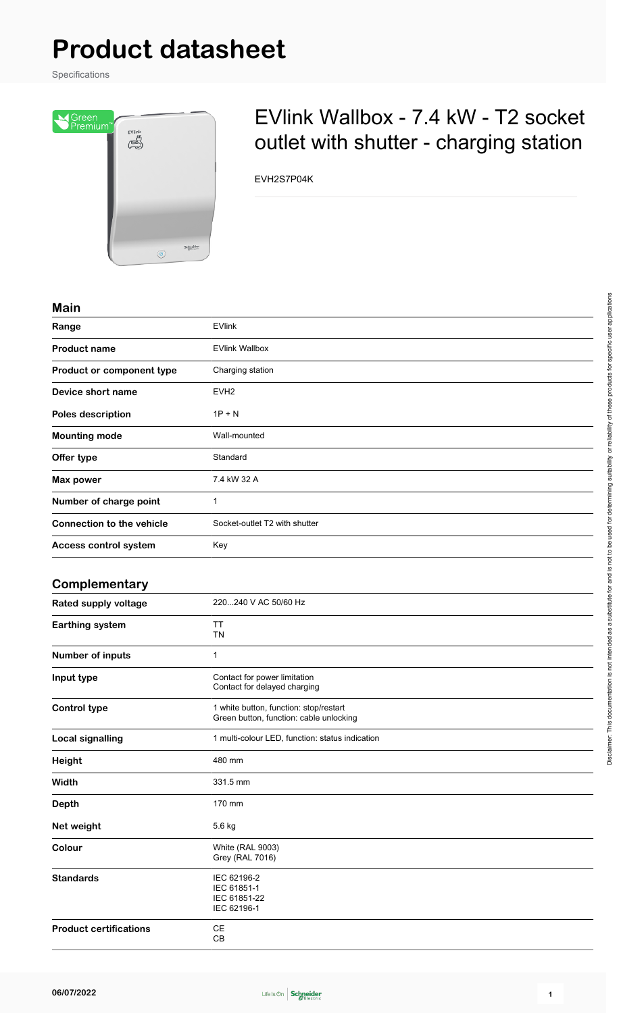# **Product datasheet**

Specifications



## EVlink Wallbox - 7.4 kW - T2 socket outlet with shutter - charging station

EVH2S7P04K

#### **Main**

| <b>IVIAIII</b>                   |                               |
|----------------------------------|-------------------------------|
| Range                            | <b>EVlink</b>                 |
| <b>Product name</b>              | <b>EVlink Wallbox</b>         |
| Product or component type        | Charging station              |
| Device short name                | EVH <sub>2</sub>              |
| Poles description                | $1P + N$                      |
| <b>Mounting mode</b>             | Wall-mounted                  |
| Offer type                       | Standard                      |
| Max power                        | 7.4 kW 32 A                   |
| Number of charge point           | 1                             |
| <b>Connection to the vehicle</b> | Socket-outlet T2 with shutter |
| Access control system            | Key                           |
|                                  |                               |

#### **Complementary**

| Rated supply voltage          | 220240 V AC 50/60 Hz                                                              |
|-------------------------------|-----------------------------------------------------------------------------------|
| Earthing system               | TT<br><b>TN</b>                                                                   |
| Number of inputs              | 1                                                                                 |
| Input type                    | Contact for power limitation<br>Contact for delayed charging                      |
| <b>Control type</b>           | 1 white button, function: stop/restart<br>Green button, function: cable unlocking |
| <b>Local signalling</b>       | 1 multi-colour LED, function: status indication                                   |
| <b>Height</b>                 | 480 mm                                                                            |
| Width                         | 331.5 mm                                                                          |
| <b>Depth</b>                  | 170 mm                                                                            |
| Net weight                    | 5.6 kg                                                                            |
| Colour                        | <b>White (RAL 9003)</b><br><b>Grey (RAL 7016)</b>                                 |
| <b>Standards</b>              | IEC 62196-2<br>IEC 61851-1<br>IEC 61851-22<br>IEC 62196-1                         |
| <b>Product certifications</b> | CE<br>CB                                                                          |